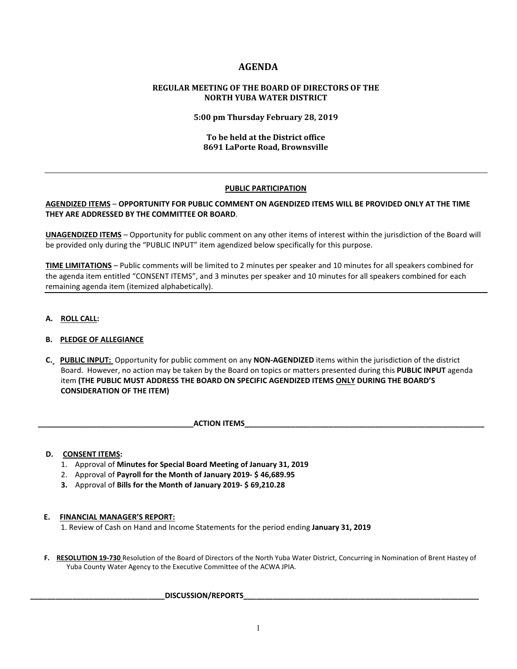# **AGENDA**

# **REGULAR MEETING OF THE BOARD OF DIRECTORS OF THE NORTH YUBA WATER DISTRICT**

**5:00 pm Thursday February 28, 2019**

# **To be held at the District office 8691 LaPorte Road, Brownsville**

# **PUBLIC PARTICIPATION**

# **AGENDIZED ITEMS** – **OPPORTUNITY FOR PUBLIC COMMENT ON AGENDIZED ITEMS WILL BE PROVIDED ONLY AT THE TIME THEY ARE ADDRESSED BY THE COMMITTEE OR BOARD**.

**UNAGENDIZED ITEMS** – Opportunity for public comment on any other items of interest within the jurisdiction of the Board will be provided only during the "PUBLIC INPUT" item agendized below specifically for this purpose.

**TIME LIMITATIONS** – Public comments will be limited to 2 minutes per speaker and 10 minutes for all speakers combined for the agenda item entitled "CONSENT ITEMS", and 3 minutes per speaker and 10 minutes for all speakers combined for each remaining agenda item (itemized alphabetically).

**A. ROLL CALL:** 

# **B. PLEDGE OF ALLEGIANCE**

- **C. PUBLIC INPUT:** Opportunity for public comment on any **NON-AGENDIZED** items within the jurisdiction of the district Board. However, no action may be taken by the Board on topics or matters presented during this **PUBLIC INPUT** agenda item **(THE PUBLIC MUST ADDRESS THE BOARD ON SPECIFIC AGENDIZED ITEMS ONLY DURING THE BOARD'S CONSIDERATION OF THE ITEM)**
	- **ACTION ITEMS**

#### **D. CONSENT ITEMS:**

- 1. Approval of **Minutes for Special Board Meeting of January 31, 2019**
- 2. Approval of **Payroll for the Month of January 2019- \$ 46,689.95**
- **3.** Approval of **Bills for the Month of January 2019- \$ 69,210.28**

#### **E. FINANCIAL MANAGER'S REPORT:**

1. Review of Cash on Hand and Income Statements for the period ending **January 31, 2019**

 **F. RESOLUTION 19-730** Resolution of the Board of Directors of the North Yuba Water District, Concurring in Nomination of Brent Hastey of Yuba County Water Agency to the Executive Committee of the ACWA JPIA.

# ${\sf DISCUSSION/REPORTS}$